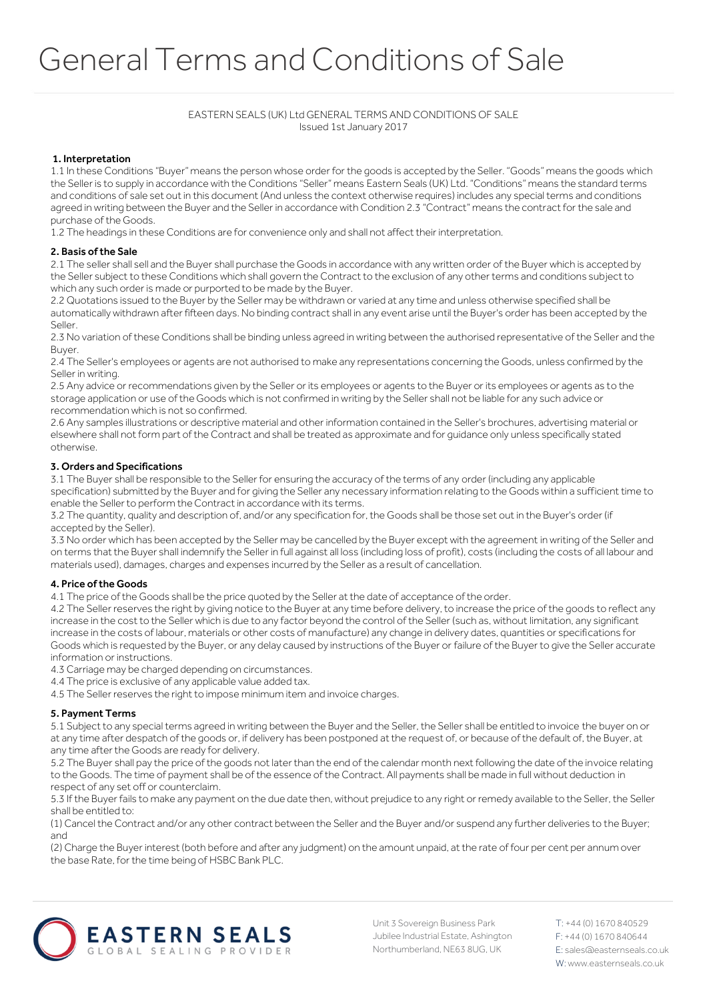# EASTERN SEALS (UK) Ltd GENERAL TERMS AND CONDITIONS OF SALE Issued 1st January 2017

## 1. Interpretation

1.1 In these Conditions "Buyer" means the person whose order for the goods is accepted by the Seller. "Goods" means the goods which the Seller is to supply in accordance with the Conditions "Seller" means Eastern Seals (UK) Ltd. "Conditions" means the standard terms and conditions of sale set out in this document (And unless the context otherwise requires) includes any special terms and conditions agreed in writing between the Buyer and the Seller in accordance with Condition 2.3 "Contract" means the contract for the sale and purchase of the Goods.

1.2 The headings in these Conditions are for convenience only and shall not affect their interpretation.

### 2. Basis of the Sale

2.1 The seller shall sell and the Buyer shall purchase the Goods in accordance with any written order of the Buyer which is accepted by the Seller subject to these Conditions which shall govern the Contract to the exclusion of any other terms and conditions subject to which any such order is made or purported to be made by the Buyer.

2.2 Quotations issued to the Buyer by the Seller may be withdrawn or varied at any time and unless otherwise specified shall be automatically withdrawn after fifteen days. No binding contract shall in any event arise until the Buyer's order has been accepted by the Seller.

2.3 No variation of these Conditions shall be binding unless agreed in writing between the authorised representative of the Seller and the Buyer.

2.4 The Seller's employees or agents are not authorised to make any representations concerning the Goods, unless confirmed by the Seller in writing.

2.5 Any advice or recommendations given by the Seller or its employees or agents to the Buyer or its employees or agents as to the storage application or use of the Goods which is not confirmed in writing by the Seller shall not be liable for any such advice or recommendation which is not so confirmed.

2.6 Any samples illustrations or descriptive material and other information contained in the Seller's brochures, advertising material or elsewhere shall not form part of the Contract and shall be treated as approximate and for guidance only unless specifically stated otherwise.

### 3. Orders and Specifications

3.1 The Buyer shall be responsible to the Seller for ensuring the accuracy of the terms of any order (including any applicable specification) submitted by the Buyer and for giving the Seller any necessary information relating to the Goods within a sufficient time to enable the Seller to perform the Contract in accordance with its terms.

3.2 The quantity, quality and description of, and/or any specification for, the Goods shall be those set out in the Buyer's order (if accepted by the Seller).

3.3 No order which has been accepted by the Seller may be cancelled by the Buyer except with the agreement in writing of the Seller and on terms that the Buyer shall indemnify the Seller in full against all loss (including loss of profit), costs (including the costs of all labour and materials used), damages, charges and expenses incurred by the Seller as a result of cancellation.

### 4. Price of the Goods

4.1 The price of the Goods shall be the price quoted by the Seller at the date of acceptance of the order.

4.2 The Seller reserves the right by giving notice to the Buyer at any time before delivery, to increase the price of the goods to reflect any increase in the cost to the Seller which is due to any factor beyond the control of the Seller (such as, without limitation, any significant increase in the costs of labour, materials or other costs of manufacture) any change in delivery dates, quantities or specifications for Goods which is requested by the Buyer, or any delay caused by instructions of the Buyer or failure of the Buyer to give the Seller accurate information or instructions.

4.3 Carriage may be charged depending on circumstances.

4.4 The price is exclusive of any applicable value added tax.

4.5 The Seller reserves the right to impose minimum item and invoice charges.

### 5. Payment Terms

5.1 Subject to any special terms agreed in writing between the Buyer and the Seller, the Seller shall be entitled to invoice the buyer on or at any time after despatch of the goods or, if delivery has been postponed at the request of, or because of the default of, the Buyer, at any time after the Goods are ready for delivery.

5.2 The Buyer shall pay the price of the goods not later than the end of the calendar month next following the date of the invoice relating to the Goods. The time of payment shall be of the essence of the Contract. All payments shall be made in full without deduction in respect of any set off or counterclaim.

5.3 If the Buyer fails to make any payment on the due date then, without prejudice to any right or remedy available to the Seller, the Seller shall be entitled to:

(1) Cancel the Contract and/or any other contract between the Seller and the Buyer and/or suspend any further deliveries to the Buyer; and

(2) Charge the Buyer interest (both before and after any judgment) on the amount unpaid, at the rate of four per cent per annum over the base Rate, for the time being of HSBC Bank PLC.



Unit 3 Sovereign Business Park Jubilee Industrial Estate, Ashington Northumberland, NE63 8UG, UK

T: +44 (0) 1670 840529 F: +44 (0) 1670 840644 E: sales@easternseals.co.uk W:www.easternseals.co.uk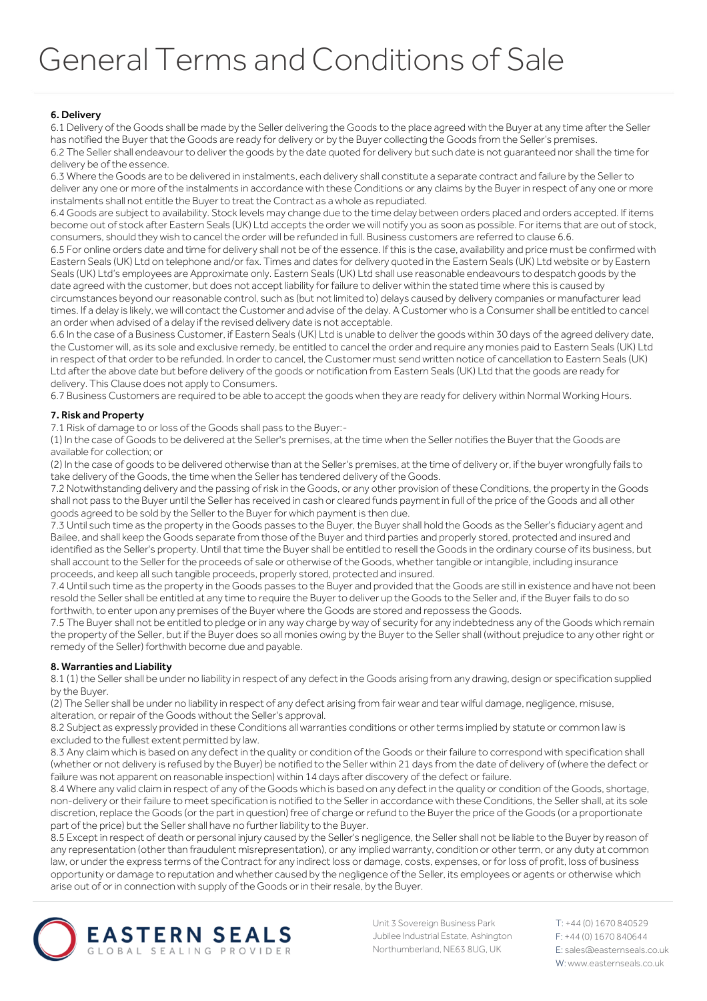# 6. Delivery

6.1 Delivery of the Goods shall be made by the Seller delivering the Goods to the place agreed with the Buyer at any time after the Seller has notified the Buyer that the Goods are ready for delivery or by the Buyer collecting the Goods from the Seller's premises. 6.2 The Seller shall endeavour to deliver the goods by the date quoted for delivery but such date is not guaranteed nor shall the time for delivery be of the essence.

6.3 Where the Goods are to be delivered in instalments, each delivery shall constitute a separate contract and failure by the Seller to deliver any one or more of the instalments in accordance with these Conditions or any claims by the Buyer in respect of any one or more instalments shall not entitle the Buyer to treat the Contract as a whole as repudiated.

6.4 Goods are subject to availability. Stock levels may change due to the time delay between orders placed and orders accepted. If items become out of stock after Eastern Seals (UK) Ltd accepts the order we will notify you as soon as possible. For items that are out of stock, consumers, should they wish to cancel the order will be refunded in full. Business customers are referred to clause 6.6.

6.5 For online orders date and time for delivery shall not be of the essence. If this is the case, availability and price must be confirmed with Eastern Seals (UK) Ltd on telephone and/or fax. Times and dates for delivery quoted in the Eastern Seals (UK) Ltd website or by Eastern Seals (UK) Ltd's employees are Approximate only. Eastern Seals (UK) Ltd shall use reasonable endeavours to despatch goods by the date agreed with the customer, but does not accept liability for failure to deliver within the stated time where this is caused by circumstances beyond our reasonable control, such as (but not limited to) delays caused by delivery companies or manufacturer lead

times. If a delay is likely, we will contact the Customer and advise of the delay. A Customer who is a Consumer shall be entitled to cancel an order when advised of a delay if the revised delivery date is not acceptable.

6.6 In the case of a Business Customer, if Eastern Seals (UK) Ltd is unable to deliver the goods within 30 days of the agreed delivery date, the Customer will, as its sole and exclusive remedy, be entitled to cancel the order and require any monies paid to Eastern Seals (UK) Ltd in respect of that order to be refunded. In order to cancel, the Customer must send written notice of cancellation to Eastern Seals (UK) Ltd after the above date but before delivery of the goods or notification from Eastern Seals (UK) Ltd that the goods are ready for delivery. This Clause does not apply to Consumers.

6.7 Business Customers are required to be able to accept the goods when they are ready for delivery within Normal Working Hours.

# 7. Risk and Property

7.1 Risk of damage to or loss of the Goods shall pass to the Buyer:-

(1) In the case of Goods to be delivered at the Seller's premises, at the time when the Seller notifies the Buyer that the Goods are available for collection; or

(2) In the case of goods to be delivered otherwise than at the Seller's premises, at the time of delivery or, if the buyer wrongfully fails to take delivery of the Goods, the time when the Seller has tendered delivery of the Goods.

7.2 Notwithstanding delivery and the passing of risk in the Goods, or any other provision of these Conditions, the property in the Goods shall not pass to the Buyer until the Seller has received in cash or cleared funds payment in full of the price of the Goods and all other goods agreed to be sold by the Seller to the Buyer for which payment is then due.

7.3 Until such time as the property in the Goods passes to the Buyer, the Buyer shall hold the Goods as the Seller's fiduciary agent and Bailee, and shall keep the Goods separate from those of the Buyer and third parties and properly stored, protected and insured and identified as the Seller's property. Until that time the Buyer shall be entitled to resell the Goods in the ordinary course of its business, but shall account to the Seller for the proceeds of sale or otherwise of the Goods, whether tangible or intangible, including insurance proceeds, and keep all such tangible proceeds, properly stored, protected and insured.

7.4 Until such time as the property in the Goods passes to the Buyer and provided that the Goods are still in existence and have not been resold the Seller shall be entitled at any time to require the Buyer to deliver up the Goods to the Seller and, if the Buyer fails to do so forthwith, to enter upon any premises of the Buyer where the Goods are stored and repossess the Goods.

7.5 The Buyer shall not be entitled to pledge or in any way charge by way of security for any indebtedness any of the Goods which remain the property of the Seller, but if the Buyer does so all monies owing by the Buyer to the Seller shall (without prejudice to any other right or remedy of the Seller) forthwith become due and payable.

### 8. Warranties and Liability

8.1 (1) the Seller shall be under no liability in respect of any defect in the Goods arising from any drawing, design or specification supplied by the Buyer.

(2) The Seller shall be under no liability in respect of any defect arising from fair wear and tear wilful damage, negligence, misuse, alteration, or repair of the Goods without the Seller's approval.

8.2 Subject as expressly provided in these Conditions all warranties conditions or other terms implied by statute or common law is excluded to the fullest extent permitted by law.

8.3 Any claim which is based on any defect in the quality or condition of the Goods or their failure to correspond with specification shall (whether or not delivery is refused by the Buyer) be notified to the Seller within 21 days from the date of delivery of (where the defect or failure was not apparent on reasonable inspection) within 14 days after discovery of the defect or failure.

8.4 Where any valid claim in respect of any of the Goods which is based on any defect in the quality or condition of the Goods, shortage, non-delivery or their failure to meet specification is notified to the Seller in accordance with these Conditions, the Seller shall, at its sole discretion, replace the Goods (or the part in question) free of charge or refund to the Buyer the price of the Goods (or a proportionate part of the price) but the Seller shall have no further liability to the Buyer.

8.5 Except in respect of death or personal injury caused by the Seller's negligence, the Seller shall not be liable to the Buyer by reason of any representation (other than fraudulent misrepresentation), or any implied warranty, condition or other term, or any duty at common law, or under the express terms of the Contract for any indirect loss or damage, costs, expenses, or for loss of profit, loss of business opportunity or damage to reputation and whether caused by the negligence of the Seller, its employees or agents or otherwise which arise out of or in connection with supply of the Goods or in their resale, by the Buyer.



Unit 3 Sovereign Business Park Jubilee Industrial Estate, Ashington Northumberland, NE63 8UG, UK

T: +44 (0) 1670 840529 F: +44 (0) 1670 840644 E: sales@easternseals.co.uk W:www.easternseals.co.uk